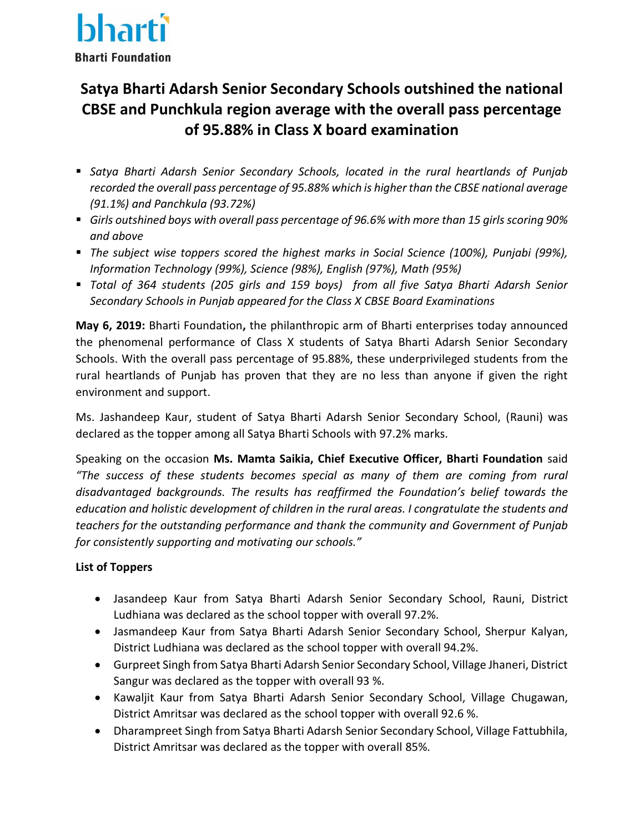

## **Satya Bharti Adarsh Senior Secondary Schools outshined the national CBSE and Punchkula region average with the overall pass percentage of 95.88% in Class X board examination**

- *Satya Bharti Adarsh Senior Secondary Schools, located in the rural heartlands of Punjab recorded the overall pass percentage of 95.88% which is higher than the CBSE national average (91.1%) and Panchkula (93.72%)*
- *Girls outshined boys with overall pass percentage of 96.6% with more than 15 girls scoring 90% and above*
- *The subject wise toppers scored the highest marks in Social Science (100%), Punjabi (99%), Information Technology (99%), Science (98%), English (97%), Math (95%)*
- *Total of 364 students (205 girls and 159 boys) from all five Satya Bharti Adarsh Senior Secondary Schools in Punjab appeared for the Class X CBSE Board Examinations*

**May 6, 2019:** Bharti Foundation**,** the philanthropic arm of Bharti enterprises today announced the phenomenal performance of Class X students of Satya Bharti Adarsh Senior Secondary Schools. With the overall pass percentage of 95.88%, these underprivileged students from the rural heartlands of Punjab has proven that they are no less than anyone if given the right environment and support.

Ms. Jashandeep Kaur, student of Satya Bharti Adarsh Senior Secondary School, (Rauni) was declared as the topper among all Satya Bharti Schools with 97.2% marks.

Speaking on the occasion **Ms. Mamta Saikia, Chief Executive Officer, Bharti Foundation** said *"The success of these students becomes special as many of them are coming from rural disadvantaged backgrounds. The results has reaffirmed the Foundation's belief towards the education and holistic development of children in the rural areas. I congratulate the students and teachers for the outstanding performance and thank the community and Government of Punjab for consistently supporting and motivating our schools."*

## **List of Toppers**

- Jasandeep Kaur from Satya Bharti Adarsh Senior Secondary School, Rauni, District Ludhiana was declared as the school topper with overall 97.2%.
- Jasmandeep Kaur from Satya Bharti Adarsh Senior Secondary School, Sherpur Kalyan, District Ludhiana was declared as the school topper with overall 94.2%.
- Gurpreet Singh from Satya Bharti Adarsh Senior Secondary School, Village Jhaneri, District Sangur was declared as the topper with overall 93 %.
- Kawaljit Kaur from Satya Bharti Adarsh Senior Secondary School, Village Chugawan, District Amritsar was declared as the school topper with overall 92.6 %.
- Dharampreet Singh from Satya Bharti Adarsh Senior Secondary School, Village Fattubhila, District Amritsar was declared as the topper with overall 85%.